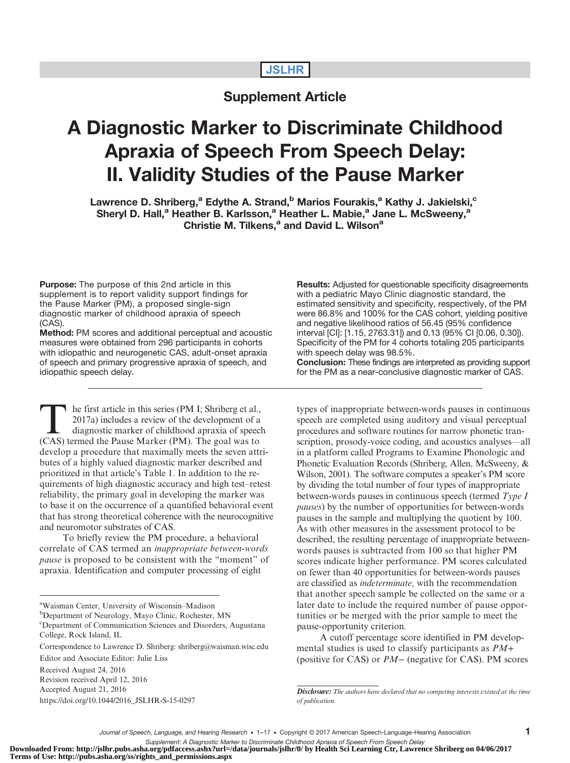# **JSLHR**

# Supplement Article

# A Diagnostic Marker to Discriminate Childhood Apraxia of Speech From Speech Delay: II. Validity Studies of the Pause Marker

Lawrence D. Shriberg,<sup>a</sup> Edythe A. Strand,<sup>b</sup> Marios Fourakis,<sup>a</sup> Kathy J. Jakielski,<sup>c</sup> Sheryl D. Hall,<sup>a</sup> Heather B. Karlsson,<sup>a</sup> Heather L. Mabie,<sup>a</sup> Jane L. McSweeny,<sup>a</sup> Christie M. Tilkens,<sup>a</sup> and David L. Wilson<sup>a</sup>

**Purpose:** The purpose of this 2nd article in this supplement is to report validity support findings for the Pause Marker (PM), a proposed single-sign diagnostic marker of childhood apraxia of speech (CAS).

Method: PM scores and additional perceptual and acoustic measures were obtained from 296 participants in cohorts with idiopathic and neurogenetic CAS, adult-onset apraxia of speech and primary progressive apraxia of speech, and idiopathic speech delay.

The first article in this series (PM I; Shriberg et al.,<br>
2017a) includes a review of the development of a<br>
diagnostic marker of childhood apraxia of speech<br>
(CAS) termed the Pause Marker (PM). The goal was to 2017a) includes a review of the development of a (CAS) termed the Pause Marker (PM). The goal was to develop a procedure that maximally meets the seven attributes of a highly valued diagnostic marker described and prioritized in that article's Table 1. In addition to the requirements of high diagnostic accuracy and high test–retest reliability, the primary goal in developing the marker was to base it on the occurrence of a quantified behavioral event that has strong theoretical coherence with the neurocognitive and neuromotor substrates of CAS.

To briefly review the PM procedure, a behavioral correlate of CAS termed an inappropriate between-words pause is proposed to be consistent with the "moment" of apraxia. Identification and computer processing of eight

<sup>b</sup>Department of Neurology, Mayo Clinic, Rochester, MN

c Department of Communication Sciences and Disorders, Augustana College, Rock Island, IL

Accepted August 21, 2016

[https://doi.org/10.1044/2016\\_JSLHR-S-15-0297](https://doi.org/10.1044/2016_JSLHR-S-15-0297)

Results: Adjusted for questionable specificity disagreements with a pediatric Mayo Clinic diagnostic standard, the estimated sensitivity and specificity, respectively, of the PM were 86.8% and 100% for the CAS cohort, yielding positive and negative likelihood ratios of 56.45 (95% confidence interval [CI]: [1.15, 2763.31]) and 0.13 (95% CI [0.06, 0.30]). Specificity of the PM for 4 cohorts totaling 205 participants with speech delay was 98.5%.

Conclusion: These findings are interpreted as providing support for the PM as a near-conclusive diagnostic marker of CAS.

types of inappropriate between-words pauses in continuous speech are completed using auditory and visual perceptual procedures and software routines for narrow phonetic transcription, prosody-voice coding, and acoustics analyses—all in a platform called Programs to Examine Phonologic and Phonetic Evaluation Records (Shriberg, Allen, McSweeny, & Wilson, 2001). The software computes a speaker's PM score by dividing the total number of four types of inappropriate between-words pauses in continuous speech (termed Type I pauses) by the number of opportunities for between-words pauses in the sample and multiplying the quotient by 100. As with other measures in the assessment protocol to be described, the resulting percentage of inappropriate betweenwords pauses is subtracted from 100 so that higher PM scores indicate higher performance. PM scores calculated on fewer than 40 opportunities for between-words pauses are classified as indeterminate, with the recommendation that another speech sample be collected on the same or a later date to include the required number of pause opportunities or be merged with the prior sample to meet the pause-opportunity criterion.

A cutoff percentage score identified in PM developmental studies is used to classify participants as PM+ (positive for CAS) or PM− (negative for CAS). PM scores

Supplement: A Diagnostic Marker to Discriminate Childhood Apraxia of Speech From Speech Delay<br>Downloaded From: http://jslhr.pubs.asha.org/pdfaccess.ashx?url=/data/journals/jslhr/0/ by Health Sci Learning Ctr, Lawrence Shri **Terms of Use: http://pubs.asha.org/ss/rights\_and\_permissions.aspx**

a Waisman Center, University of Wisconsin–Madison

Correspondence to Lawrence D. Shriberg: shriberg@waisman.wisc.edu Editor and Associate Editor: Julie Liss

Received August 24, 2016 Revision received April 12, 2016

**Disclosure:** The authors have declared that no competing interests existed at the time of publication.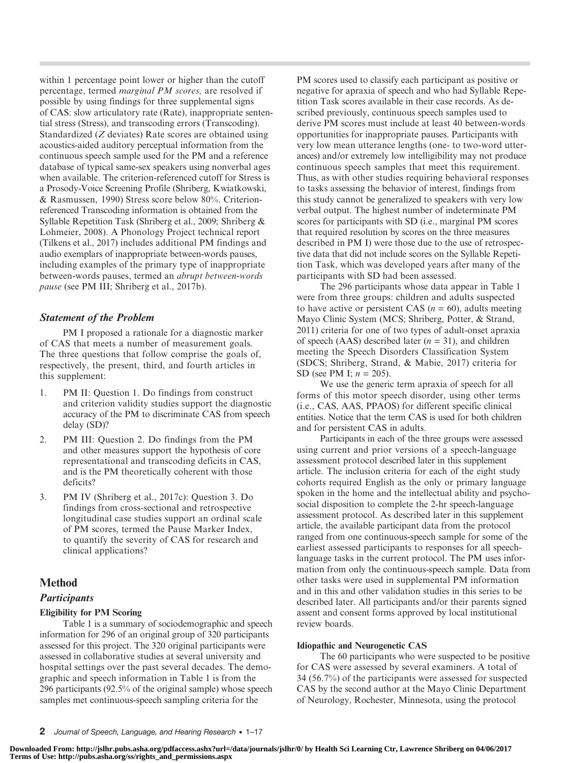within 1 percentage point lower or higher than the cutoff percentage, termed marginal PM scores, are resolved if possible by using findings for three supplemental signs of CAS: slow articulatory rate (Rate), inappropriate sentential stress (Stress), and transcoding errors (Transcoding). Standardized (Z deviates) Rate scores are obtained using acoustics-aided auditory perceptual information from the continuous speech sample used for the PM and a reference database of typical same-sex speakers using nonverbal ages when available. The criterion-referenced cutoff for Stress is a Prosody-Voice Screening Profile (Shriberg, Kwiatkowski, & Rasmussen, 1990) Stress score below 80%. Criterionreferenced Transcoding information is obtained from the Syllable Repetition Task (Shriberg et al., 2009; Shriberg & Lohmeier, 2008). A Phonology Project technical report (Tilkens et al., 2017) includes additional PM findings and audio exemplars of inappropriate between-words pauses, including examples of the primary type of inappropriate between-words pauses, termed an abrupt between-words pause (see PM III; Shriberg et al., 2017b).

## Statement of the Problem

PM I proposed a rationale for a diagnostic marker of CAS that meets a number of measurement goals. The three questions that follow comprise the goals of, respectively, the present, third, and fourth articles in this supplement:

- 1. PM II: Question 1. Do findings from construct and criterion validity studies support the diagnostic accuracy of the PM to discriminate CAS from speech delay (SD)?
- 2. PM III: Question 2. Do findings from the PM and other measures support the hypothesis of core representational and transcoding deficits in CAS, and is the PM theoretically coherent with those deficits?
- 3. PM IV (Shriberg et al., 2017c): Question 3. Do findings from cross-sectional and retrospective longitudinal case studies support an ordinal scale of PM scores, termed the Pause Marker Index, to quantify the severity of CAS for research and clinical applications?

## Method

## **Participants**

## Eligibility for PM Scoring

Table 1 is a summary of sociodemographic and speech information for 296 of an original group of 320 participants assessed for this project. The 320 original participants were assessed in collaborative studies at several university and hospital settings over the past several decades. The demographic and speech information in Table 1 is from the 296 participants (92.5% of the original sample) whose speech samples met continuous-speech sampling criteria for the

PM scores used to classify each participant as positive or negative for apraxia of speech and who had Syllable Repetition Task scores available in their case records. As described previously, continuous speech samples used to derive PM scores must include at least 40 between-words opportunities for inappropriate pauses. Participants with very low mean utterance lengths (one- to two-word utterances) and/or extremely low intelligibility may not produce continuous speech samples that meet this requirement. Thus, as with other studies requiring behavioral responses to tasks assessing the behavior of interest, findings from this study cannot be generalized to speakers with very low verbal output. The highest number of indeterminate PM scores for participants with SD (i.e., marginal PM scores that required resolution by scores on the three measures described in PM I) were those due to the use of retrospective data that did not include scores on the Syllable Repetition Task, which was developed years after many of the participants with SD had been assessed.

The 296 participants whose data appear in Table 1 were from three groups: children and adults suspected to have active or persistent CAS ( $n = 60$ ), adults meeting Mayo Clinic System (MCS; Shriberg, Potter, & Strand, 2011) criteria for one of two types of adult-onset apraxia of speech (AAS) described later  $(n = 31)$ , and children meeting the Speech Disorders Classification System (SDCS; Shriberg, Strand, & Mabie, 2017) criteria for SD (see PM I;  $n = 205$ ).

We use the generic term apraxia of speech for all forms of this motor speech disorder, using other terms (i.e., CAS, AAS, PPAOS) for different specific clinical entities. Notice that the term CAS is used for both children and for persistent CAS in adults.

Participants in each of the three groups were assessed using current and prior versions of a speech-language assessment protocol described later in this supplement article. The inclusion criteria for each of the eight study cohorts required English as the only or primary language spoken in the home and the intellectual ability and psychosocial disposition to complete the 2-hr speech-language assessment protocol. As described later in this supplement article, the available participant data from the protocol ranged from one continuous-speech sample for some of the earliest assessed participants to responses for all speechlanguage tasks in the current protocol. The PM uses information from only the continuous-speech sample. Data from other tasks were used in supplemental PM information and in this and other validation studies in this series to be described later. All participants and/or their parents signed assent and consent forms approved by local institutional review boards.

## Idiopathic and Neurogenetic CAS

The 60 participants who were suspected to be positive for CAS were assessed by several examiners. A total of 34 (56.7%) of the participants were assessed for suspected CAS by the second author at the Mayo Clinic Department of Neurology, Rochester, Minnesota, using the protocol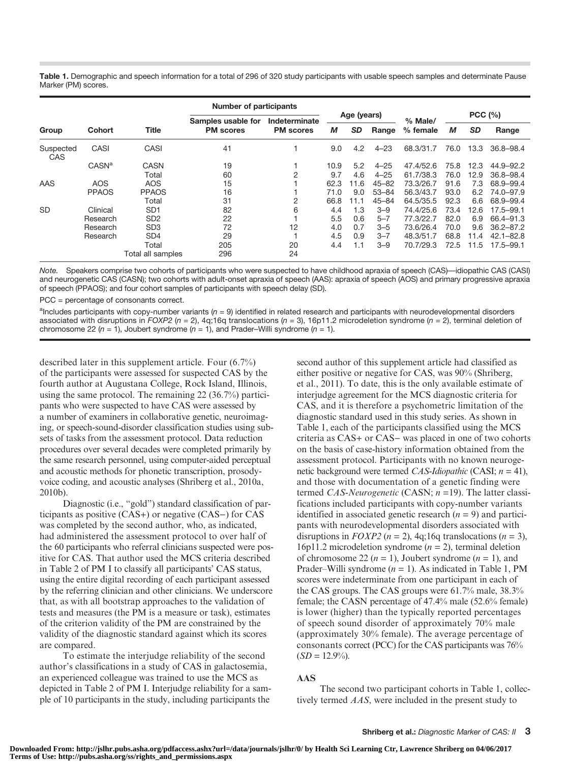Table 1. Demographic and speech information for a total of 296 of 320 study participants with usable speech samples and determinate Pause Marker (PM) scores.

|                  |                   |                             | Number of participants |                  |      |             |           |           |        |           |               |
|------------------|-------------------|-----------------------------|------------------------|------------------|------|-------------|-----------|-----------|--------|-----------|---------------|
|                  |                   |                             | Samples usable for     | Indeterminate    |      | Age (years) |           | % Male/   | PCC(%) |           |               |
| Group            | <b>Cohort</b>     | <b>Title</b>                | <b>PM</b> scores       | <b>PM</b> scores | М    | <b>SD</b>   | Range     | % female  | М      | <b>SD</b> | Range         |
| Suspected<br>CAS | CASI              | CASI                        | 41                     |                  | 9.0  | 4.2         | $4 - 23$  | 68.3/31.7 | 76.0   | 13.3      | 36.8-98.4     |
|                  | CASN <sup>a</sup> | CASN                        | 19                     |                  | 10.9 | 5.2         | $4 - 25$  | 47.4/52.6 | 75.8   | 12.3      | $44.9 - 92.2$ |
|                  |                   | Total                       | 60                     | $\overline{2}$   | 9.7  | 4.6         | $4 - 25$  | 61.7/38.3 | 76.0   | 12.9      | 36.8-98.4     |
| AAS              | AOS               | AOS                         | 15                     |                  | 62.3 | 11.6        | $45 - 82$ | 73.3/26.7 | 91.6   | 7.3       | 68.9-99.4     |
|                  | <b>PPAOS</b>      | <b>PPAOS</b>                | 16                     |                  | 71.0 | 9.0         | $53 - 84$ | 56.3/43.7 | 93.0   | 6.2       | 74.0-97.9     |
|                  |                   | Total                       | 31                     | 2                | 66.8 | 11.1        | $45 - 84$ | 64.5/35.5 | 92.3   | 6.6       | 68.9-99.4     |
| <b>SD</b>        | Clinical          | SD <sub>1</sub>             | 82                     | 6                | 4.4  | 1.3         | $3 - 9$   | 74.4/25.6 | 73.4   | 12.6      | $17.5 - 99.1$ |
|                  | Research          | S <sub>D</sub> <sub>2</sub> | 22                     |                  | 5.5  | 0.6         | $5 - 7$   | 77.3/22.7 | 82.0   | 6.9       | 66.4-91.3     |
|                  | Research          | SD <sub>3</sub>             | 72                     | 12               | 4.0  | 0.7         | $3 - 5$   | 73.6/26.4 | 70.0   | 9.6       | $36.2 - 87.2$ |
|                  | Research          | SD <sub>4</sub>             | 29                     |                  | 4.5  | 0.9         | $3 - 7$   | 48.3/51.7 | 68.8   | 11.4      | $42.1 - 82.8$ |
|                  |                   | Total                       | 205                    | 20               | 4.4  | 1.1         | $3 - 9$   | 70.7/29.3 | 72.5   | 11.5      | $17.5 - 99.1$ |
|                  |                   | Total all samples           | 296                    | 24               |      |             |           |           |        |           |               |

Note. Speakers comprise two cohorts of participants who were suspected to have childhood apraxia of speech (CAS)—idiopathic CAS (CASI) and neurogenetic CAS (CASN); two cohorts with adult-onset apraxia of speech (AAS): apraxia of speech (AOS) and primary progressive apraxia of speech (PPAOS); and four cohort samples of participants with speech delay (SD).

PCC = percentage of consonants correct.

alncludes participants with copy-number variants (n = 9) identified in related research and participants with neurodevelopmental disorders associated with disruptions in FOXP2 ( $n = 2$ ), 4q;16q translocations ( $n = 3$ ), 16p11.2 microdeletion syndrome ( $n = 2$ ), terminal deletion of chromosome 22 ( $n = 1$ ), Joubert syndrome ( $n = 1$ ), and Prader–Willi syndrome ( $n = 1$ ).

described later in this supplement article. Four (6.7%) of the participants were assessed for suspected CAS by the fourth author at Augustana College, Rock Island, Illinois, using the same protocol. The remaining 22 (36.7%) participants who were suspected to have CAS were assessed by a number of examiners in collaborative genetic, neuroimaging, or speech-sound-disorder classification studies using subsets of tasks from the assessment protocol. Data reduction procedures over several decades were completed primarily by the same research personnel, using computer-aided perceptual and acoustic methods for phonetic transcription, prosodyvoice coding, and acoustic analyses (Shriberg et al., 2010a, 2010b).

Diagnostic (i.e., "gold") standard classification of participants as positive (CAS+) or negative (CAS−) for CAS was completed by the second author, who, as indicated, had administered the assessment protocol to over half of the 60 participants who referral clinicians suspected were positive for CAS. That author used the MCS criteria described in Table 2 of PM I to classify all participants' CAS status, using the entire digital recording of each participant assessed by the referring clinician and other clinicians. We underscore that, as with all bootstrap approaches to the validation of tests and measures (the PM is a measure or task), estimates of the criterion validity of the PM are constrained by the validity of the diagnostic standard against which its scores are compared.

To estimate the interjudge reliability of the second author's classifications in a study of CAS in galactosemia, an experienced colleague was trained to use the MCS as depicted in Table 2 of PM I. Interjudge reliability for a sample of 10 participants in the study, including participants the

second author of this supplement article had classified as either positive or negative for CAS, was 90% (Shriberg, et al., 2011). To date, this is the only available estimate of interjudge agreement for the MCS diagnostic criteria for CAS, and it is therefore a psychometric limitation of the diagnostic standard used in this study series. As shown in Table 1, each of the participants classified using the MCS criteria as CAS+ or CAS− was placed in one of two cohorts on the basis of case-history information obtained from the assessment protocol. Participants with no known neurogenetic background were termed CAS-Idiopathic (CASI;  $n = 41$ ), and those with documentation of a genetic finding were termed CAS-Neurogenetic (CASN;  $n = 19$ ). The latter classifications included participants with copy-number variants identified in associated genetic research  $(n = 9)$  and participants with neurodevelopmental disorders associated with disruptions in  $FOXP2$  ( $n = 2$ ), 4q;16q translocations ( $n = 3$ ), 16p11.2 microdeletion syndrome ( $n = 2$ ), terminal deletion of chromosome 22 ( $n = 1$ ), Joubert syndrome ( $n = 1$ ), and Prader–Willi syndrome  $(n = 1)$ . As indicated in Table 1, PM scores were indeterminate from one participant in each of the CAS groups. The CAS groups were 61.7% male, 38.3% female; the CASN percentage of 47.4% male (52.6% female) is lower (higher) than the typically reported percentages of speech sound disorder of approximately 70% male (approximately 30% female). The average percentage of consonants correct (PCC) for the CAS participants was 76%  $(SD = 12.9\%)$ .

#### AAS

The second two participant cohorts in Table 1, collectively termed AAS, were included in the present study to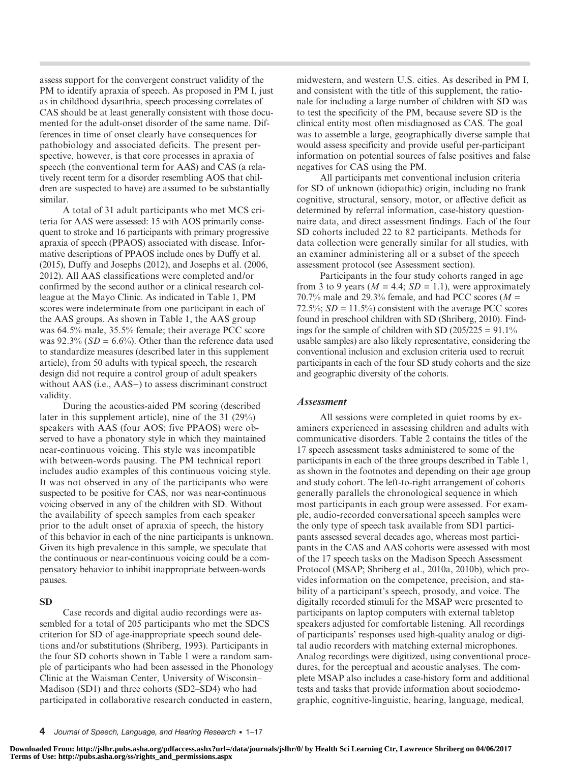assess support for the convergent construct validity of the PM to identify apraxia of speech. As proposed in PM I, just as in childhood dysarthria, speech processing correlates of CAS should be at least generally consistent with those documented for the adult-onset disorder of the same name. Differences in time of onset clearly have consequences for pathobiology and associated deficits. The present perspective, however, is that core processes in apraxia of speech (the conventional term for AAS) and CAS (a relatively recent term for a disorder resembling AOS that children are suspected to have) are assumed to be substantially similar.

A total of 31 adult participants who met MCS criteria for AAS were assessed: 15 with AOS primarily consequent to stroke and 16 participants with primary progressive apraxia of speech (PPAOS) associated with disease. Informative descriptions of PPAOS include ones by Duffy et al. (2015), Duffy and Josephs (2012), and Josephs et al. (2006, 2012). All AAS classifications were completed and/or confirmed by the second author or a clinical research colleague at the Mayo Clinic. As indicated in Table 1, PM scores were indeterminate from one participant in each of the AAS groups. As shown in Table 1, the AAS group was 64.5% male, 35.5% female; their average PCC score was  $92.3\%$  (*SD* = 6.6%). Other than the reference data used to standardize measures (described later in this supplement article), from 50 adults with typical speech, the research design did not require a control group of adult speakers without AAS (i.e., AAS−) to assess discriminant construct validity.

During the acoustics-aided PM scoring (described later in this supplement article), nine of the 31 (29%) speakers with AAS (four AOS; five PPAOS) were observed to have a phonatory style in which they maintained near-continuous voicing. This style was incompatible with between-words pausing. The PM technical report includes audio examples of this continuous voicing style. It was not observed in any of the participants who were suspected to be positive for CAS, nor was near-continuous voicing observed in any of the children with SD. Without the availability of speech samples from each speaker prior to the adult onset of apraxia of speech, the history of this behavior in each of the nine participants is unknown. Given its high prevalence in this sample, we speculate that the continuous or near-continuous voicing could be a compensatory behavior to inhibit inappropriate between-words pauses.

#### SD

Case records and digital audio recordings were assembled for a total of 205 participants who met the SDCS criterion for SD of age-inappropriate speech sound deletions and/or substitutions (Shriberg, 1993). Participants in the four SD cohorts shown in Table 1 were a random sample of participants who had been assessed in the Phonology Clinic at the Waisman Center, University of Wisconsin– Madison (SD1) and three cohorts (SD2–SD4) who had participated in collaborative research conducted in eastern,

midwestern, and western U.S. cities. As described in PM I, and consistent with the title of this supplement, the rationale for including a large number of children with SD was to test the specificity of the PM, because severe SD is the clinical entity most often misdiagnosed as CAS. The goal was to assemble a large, geographically diverse sample that would assess specificity and provide useful per-participant information on potential sources of false positives and false negatives for CAS using the PM.

All participants met conventional inclusion criteria for SD of unknown (idiopathic) origin, including no frank cognitive, structural, sensory, motor, or affective deficit as determined by referral information, case-history questionnaire data, and direct assessment findings. Each of the four SD cohorts included 22 to 82 participants. Methods for data collection were generally similar for all studies, with an examiner administering all or a subset of the speech assessment protocol (see Assessment section).

Participants in the four study cohorts ranged in age from 3 to 9 years ( $M = 4.4$ ;  $SD = 1.1$ ), were approximately 70.7% male and 29.3% female, and had PCC scores ( $M =$ 72.5%;  $SD = 11.5\%$ ) consistent with the average PCC scores found in preschool children with SD (Shriberg, 2010). Findings for the sample of children with SD  $(205/225 = 91.1\%)$ usable samples) are also likely representative, considering the conventional inclusion and exclusion criteria used to recruit participants in each of the four SD study cohorts and the size and geographic diversity of the cohorts.

#### Assessment

All sessions were completed in quiet rooms by examiners experienced in assessing children and adults with communicative disorders. Table 2 contains the titles of the 17 speech assessment tasks administered to some of the participants in each of the three groups described in Table 1, as shown in the footnotes and depending on their age group and study cohort. The left-to-right arrangement of cohorts generally parallels the chronological sequence in which most participants in each group were assessed. For example, audio-recorded conversational speech samples were the only type of speech task available from SD1 participants assessed several decades ago, whereas most participants in the CAS and AAS cohorts were assessed with most of the 17 speech tasks on the Madison Speech Assessment Protocol (MSAP; Shriberg et al., 2010a, 2010b), which provides information on the competence, precision, and stability of a participant's speech, prosody, and voice. The digitally recorded stimuli for the MSAP were presented to participants on laptop computers with external tabletop speakers adjusted for comfortable listening. All recordings of participants' responses used high-quality analog or digital audio recorders with matching external microphones. Analog recordings were digitized, using conventional procedures, for the perceptual and acoustic analyses. The complete MSAP also includes a case-history form and additional tests and tasks that provide information about sociodemographic, cognitive-linguistic, hearing, language, medical,

<sup>4</sup> Journal of Speech, Language, and Hearing Research • 1–17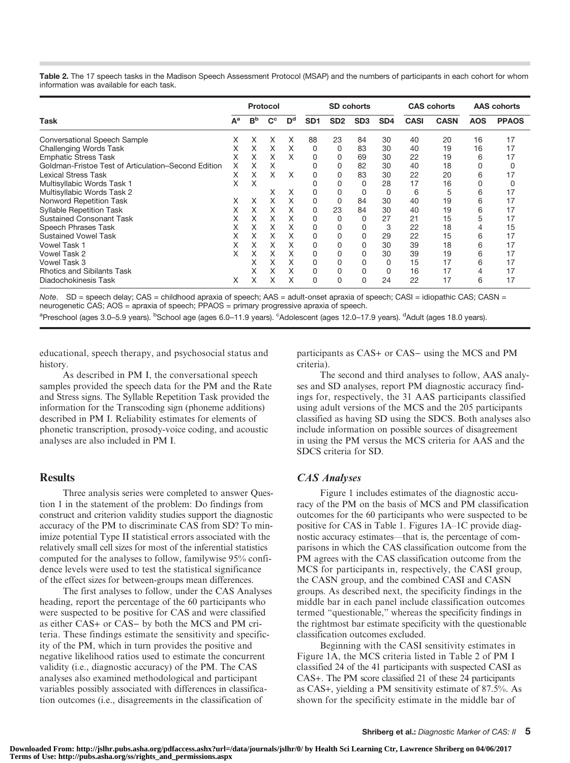Table 2. The 17 speech tasks in the Madison Speech Assessment Protocol (MSAP) and the numbers of participants in each cohort for whom information was available for each task.

|                                                     |       |                | Protocol                  |                           |                 |                 | SD cohorts      |                 |             | <b>CAS cohorts</b> | <b>AAS</b> cohorts |              |
|-----------------------------------------------------|-------|----------------|---------------------------|---------------------------|-----------------|-----------------|-----------------|-----------------|-------------|--------------------|--------------------|--------------|
| <b>Task</b>                                         | $A^a$ | B <sub>p</sub> | $\mathbf{C}^{\mathbf{c}}$ | $\mathbf{D}^{\mathbf{d}}$ | SD <sub>1</sub> | SD <sub>2</sub> | SD <sub>3</sub> | SD <sub>4</sub> | <b>CASI</b> | <b>CASN</b>        | <b>AOS</b>         | <b>PPAOS</b> |
| <b>Conversational Speech Sample</b>                 | X     | x              | X                         | Х                         | 88              | 23              | 84              | 30              | 40          | 20                 | 16                 | 17           |
| Challenging Words Task                              | X     | X.             | X                         | X                         | 0               | 0               | 83              | 30              | 40          | 19                 | 16                 | 17           |
| <b>Emphatic Stress Task</b>                         | X     | x              | x                         | X                         | 0               |                 | 69              | 30              | 22          | 19                 | 6                  | 17           |
| Goldman-Fristoe Test of Articulation-Second Edition | X     | x              | X                         |                           | 0               | <sup>0</sup>    | 82              | 30              | 40          | 18                 |                    |              |
| <b>Lexical Stress Task</b>                          | X     | X              | X                         | X                         | 0               |                 | 83              | 30              | 22          | 20                 | 6                  | 17           |
| Multisyllabic Words Task 1                          | X     | Χ              |                           |                           |                 |                 | 0               | 28              | 17          | 16                 |                    |              |
| Multisyllabic Words Task 2                          |       |                | X                         | X                         | O               |                 |                 | 0               | 6           | 5                  | 6                  | 17           |
| Nonword Repetition Task                             | X     | X              | Χ                         | X                         | 0               |                 | 84              | 30              | 40          | 19                 | 6                  | 17           |
| <b>Syllable Repetition Task</b>                     | X     | X.             | X                         | X                         | 0               | 23              | 84              | 30              | 40          | 19                 | 6                  | 17           |
| <b>Sustained Consonant Task</b>                     | x     | x              | X                         | Х                         | 0               | 0               | 0               | 27              | 21          | 15                 |                    | 17           |
| Speech Phrases Task                                 | X     | X.             | X                         | X                         | 0               | <sup>0</sup>    |                 | 3               | 22          | 18                 |                    | 15           |
| <b>Sustained Vowel Task</b>                         | x     | x              | X                         | Χ                         | $\Omega$        |                 |                 | 29              | 22          | 15                 | 6                  | 17           |
| <b>Vowel Task 1</b>                                 | X.    | X.             | X                         | X                         | 0               | O               |                 | 30              | 39          | 18                 | 6                  | 17           |
| Vowel Task 2                                        | x     | x              | x                         | X                         | 0               |                 |                 | 30              | 39          | 19                 | 6                  | 17           |
| Vowel Task 3                                        |       | X              | Χ                         | X                         | 0               |                 |                 | 0               | 15          | 17                 | 6                  | 17           |
| <b>Rhotics and Sibilants Task</b>                   |       | x              | X                         | X                         | $\Omega$        | $\Omega$        |                 | 0               | 16          | 17                 |                    | 17           |
| Diadochokinesis Task                                | X     | x              | X                         | X                         | 0               | $\Omega$        | 0               | 24              | 22          | 17                 | 6                  | 17           |

Note. SD = speech delay; CAS = childhood apraxia of speech; AAS = adult-onset apraxia of speech; CASI = idiopathic CAS; CASN = neurogenetic CAS; AOS = apraxia of speech; PPAOS = primary progressive apraxia of speech.

<sup>a</sup>Preschool (ages 3.0–5.9 years). <sup>b</sup>School age (ages 6.0–11.9 years). <sup>c</sup>Adolescent (ages 12.0–17.9 years). <sup>d</sup>Adult (ages 18.0 years).

educational, speech therapy, and psychosocial status and history.

As described in PM I, the conversational speech samples provided the speech data for the PM and the Rate and Stress signs. The Syllable Repetition Task provided the information for the Transcoding sign (phoneme additions) described in PM I. Reliability estimates for elements of phonetic transcription, prosody-voice coding, and acoustic analyses are also included in PM I.

#### Results

Three analysis series were completed to answer Question 1 in the statement of the problem: Do findings from construct and criterion validity studies support the diagnostic accuracy of the PM to discriminate CAS from SD? To minimize potential Type II statistical errors associated with the relatively small cell sizes for most of the inferential statistics computed for the analyses to follow, familywise 95% confidence levels were used to test the statistical significance of the effect sizes for between-groups mean differences.

The first analyses to follow, under the CAS Analyses heading, report the percentage of the 60 participants who were suspected to be positive for CAS and were classified as either CAS+ or CAS− by both the MCS and PM criteria. These findings estimate the sensitivity and specificity of the PM, which in turn provides the positive and negative likelihood ratios used to estimate the concurrent validity (i.e., diagnostic accuracy) of the PM. The CAS analyses also examined methodological and participant variables possibly associated with differences in classification outcomes (i.e., disagreements in the classification of

participants as CAS+ or CAS− using the MCS and PM criteria).

The second and third analyses to follow, AAS analyses and SD analyses, report PM diagnostic accuracy findings for, respectively, the 31 AAS participants classified using adult versions of the MCS and the 205 participants classified as having SD using the SDCS. Both analyses also include information on possible sources of disagreement in using the PM versus the MCS criteria for AAS and the SDCS criteria for SD.

#### CAS Analyses

Figure 1 includes estimates of the diagnostic accuracy of the PM on the basis of MCS and PM classification outcomes for the 60 participants who were suspected to be positive for CAS in Table 1. Figures 1A–1C provide diagnostic accuracy estimates—that is, the percentage of comparisons in which the CAS classification outcome from the PM agrees with the CAS classification outcome from the MCS for participants in, respectively, the CASI group, the CASN group, and the combined CASI and CASN groups. As described next, the specificity findings in the middle bar in each panel include classification outcomes termed "questionable," whereas the specificity findings in the rightmost bar estimate specificity with the questionable classification outcomes excluded.

Beginning with the CASI sensitivity estimates in Figure 1A, the MCS criteria listed in Table 2 of PM I classified 24 of the 41 participants with suspected CASI as CAS+. The PM score classified 21 of these 24 participants as CAS+, yielding a PM sensitivity estimate of 87.5%. As shown for the specificity estimate in the middle bar of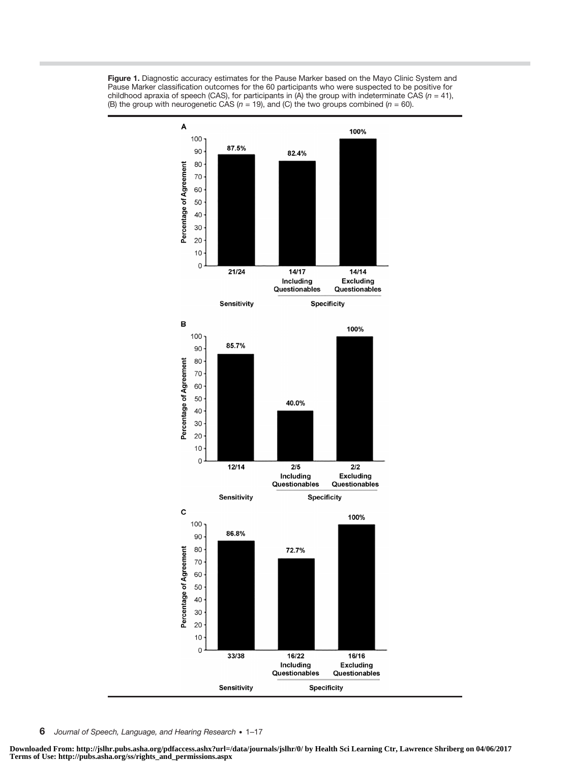



6 Journal of Speech, Language, and Hearing Research • 1–17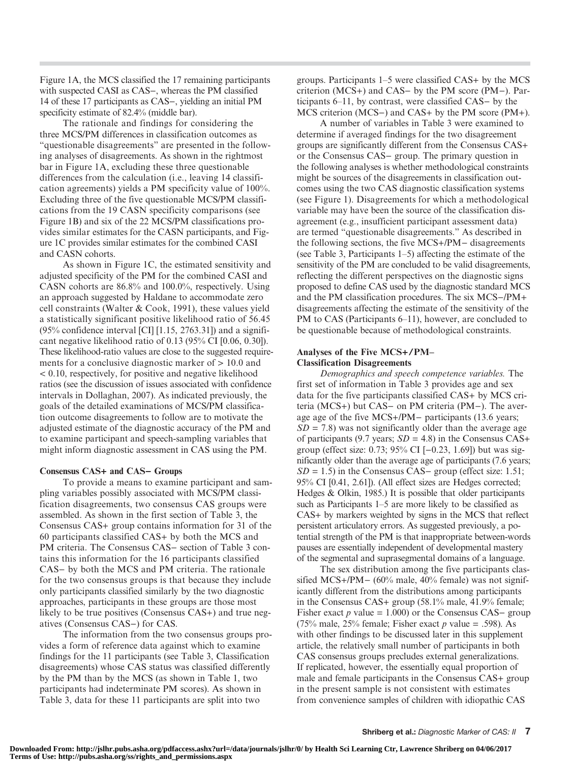Figure 1A, the MCS classified the 17 remaining participants with suspected CASI as CAS−, whereas the PM classified 14 of these 17 participants as CAS−, yielding an initial PM specificity estimate of 82.4% (middle bar).

The rationale and findings for considering the three MCS/PM differences in classification outcomes as "questionable disagreements" are presented in the following analyses of disagreements. As shown in the rightmost bar in Figure 1A, excluding these three questionable differences from the calculation (i.e., leaving 14 classification agreements) yields a PM specificity value of 100%. Excluding three of the five questionable MCS/PM classifications from the 19 CASN specificity comparisons (see Figure 1B) and six of the 22 MCS/PM classifications provides similar estimates for the CASN participants, and Figure 1C provides similar estimates for the combined CASI and CASN cohorts.

As shown in Figure 1C, the estimated sensitivity and adjusted specificity of the PM for the combined CASI and CASN cohorts are 86.8% and 100.0%, respectively. Using an approach suggested by Haldane to accommodate zero cell constraints (Walter & Cook, 1991), these values yield a statistically significant positive likelihood ratio of 56.45  $(95\%$  confidence interval [CI] [1.15, 2763.31]) and a significant negative likelihood ratio of 0.13 (95% CI [0.06, 0.30]). These likelihood-ratio values are close to the suggested requirements for a conclusive diagnostic marker of > 10.0 and < 0.10, respectively, for positive and negative likelihood ratios (see the discussion of issues associated with confidence intervals in Dollaghan, 2007). As indicated previously, the goals of the detailed examinations of MCS/PM classification outcome disagreements to follow are to motivate the adjusted estimate of the diagnostic accuracy of the PM and to examine participant and speech-sampling variables that might inform diagnostic assessment in CAS using the PM.

#### Consensus CAS+ and CAS− Groups

To provide a means to examine participant and sampling variables possibly associated with MCS/PM classification disagreements, two consensus CAS groups were assembled. As shown in the first section of Table 3, the Consensus CAS+ group contains information for 31 of the 60 participants classified CAS+ by both the MCS and PM criteria. The Consensus CAS− section of Table 3 contains this information for the 16 participants classified CAS− by both the MCS and PM criteria. The rationale for the two consensus groups is that because they include only participants classified similarly by the two diagnostic approaches, participants in these groups are those most likely to be true positives (Consensus CAS+) and true negatives (Consensus CAS−) for CAS.

The information from the two consensus groups provides a form of reference data against which to examine findings for the 11 participants (see Table 3, Classification disagreements) whose CAS status was classified differently by the PM than by the MCS (as shown in Table 1, two participants had indeterminate PM scores). As shown in Table 3, data for these 11 participants are split into two

groups. Participants 1–5 were classified CAS+ by the MCS criterion (MCS+) and CAS− by the PM score (PM−). Participants 6–11, by contrast, were classified CAS− by the MCS criterion (MCS−) and CAS+ by the PM score (PM+).

A number of variables in Table 3 were examined to determine if averaged findings for the two disagreement groups are significantly different from the Consensus CAS+ or the Consensus CAS− group. The primary question in the following analyses is whether methodological constraints might be sources of the disagreements in classification outcomes using the two CAS diagnostic classification systems (see Figure 1). Disagreements for which a methodological variable may have been the source of the classification disagreement (e.g., insufficient participant assessment data) are termed "questionable disagreements." As described in the following sections, the five MCS+/PM− disagreements (see Table 3, Participants 1–5) affecting the estimate of the sensitivity of the PM are concluded to be valid disagreements, reflecting the different perspectives on the diagnostic signs proposed to define CAS used by the diagnostic standard MCS and the PM classification procedures. The six MCS−/PM+ disagreements affecting the estimate of the sensitivity of the PM to CAS (Participants 6–11), however, are concluded to be questionable because of methodological constraints.

#### Analyses of the Five MCS+/PM*–* Classification Disagreements

Demographics and speech competence variables. The first set of information in Table 3 provides age and sex data for the five participants classified CAS+ by MCS criteria (MCS+) but CAS− on PM criteria (PM−). The average age of the five MCS+/PM− participants (13.6 years;  $SD = 7.8$ ) was not significantly older than the average age of participants (9.7 years;  $SD = 4.8$ ) in the Consensus CAS+ group (effect size: 0.73; 95% CI [−0.23, 1.69]) but was significantly older than the average age of participants (7.6 years;  $SD = 1.5$ ) in the Consensus CAS– group (effect size: 1.51; 95% CI [0.41, 2.61]). (All effect sizes are Hedges corrected; Hedges & Olkin, 1985.) It is possible that older participants such as Participants 1–5 are more likely to be classified as CAS+ by markers weighted by signs in the MCS that reflect persistent articulatory errors. As suggested previously, a potential strength of the PM is that inappropriate between-words pauses are essentially independent of developmental mastery of the segmental and suprasegmental domains of a language.

The sex distribution among the five participants classified MCS+/PM− (60% male, 40% female) was not significantly different from the distributions among participants in the Consensus CAS+ group (58.1% male, 41.9% female; Fisher exact p value =  $1.000$ ) or the Consensus CAS– group (75% male, 25% female; Fisher exact p value = .598). As with other findings to be discussed later in this supplement article, the relatively small number of participants in both CAS consensus groups precludes external generalizations. If replicated, however, the essentially equal proportion of male and female participants in the Consensus CAS+ group in the present sample is not consistent with estimates from convenience samples of children with idiopathic CAS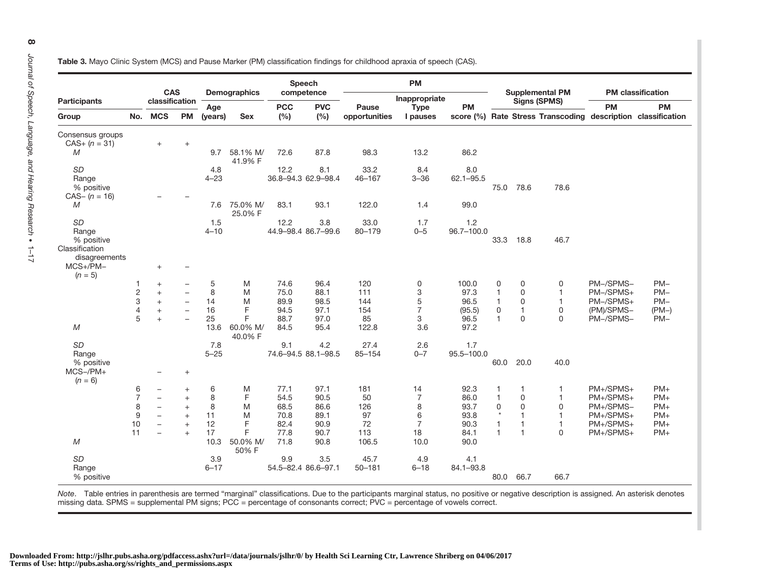Table 3. Mayo Clinic System (MCS) and Pause Marker (PM) classification findings for childhood apraxia of speech (CAS).

| <b>Participants</b>                      |                  |                              |                          |                |                     |                   | Speech              |                        | <b>PM</b>               |               |                                               |              |              |            |                                                                           |
|------------------------------------------|------------------|------------------------------|--------------------------|----------------|---------------------|-------------------|---------------------|------------------------|-------------------------|---------------|-----------------------------------------------|--------------|--------------|------------|---------------------------------------------------------------------------|
|                                          |                  | <b>CAS</b><br>classification |                          |                | <b>Demographics</b> | competence        |                     | Inappropriate          |                         |               | <b>Supplemental PM</b><br><b>Signs (SPMS)</b> |              |              |            | <b>PM</b> classification                                                  |
| Group                                    | No.              | <b>MCS</b>                   | <b>PM</b>                | Age<br>(years) | <b>Sex</b>          | <b>PCC</b><br>(%) | <b>PVC</b><br>(%)   | Pause<br>opportunities | <b>Type</b><br>I pauses | <b>PM</b>     |                                               |              |              | <b>PM</b>  | <b>PM</b><br>score (%) Rate Stress Transcoding description classification |
| Consensus groups                         |                  |                              |                          |                |                     |                   |                     |                        |                         |               |                                               |              |              |            |                                                                           |
| $CAS+ (n = 31)$<br>M                     |                  | $+$                          | $\qquad \qquad +$        | 9.7            | 58.1% M/<br>41.9% F | 72.6              | 87.8                | 98.3                   | 13.2                    | 86.2          |                                               |              |              |            |                                                                           |
| <b>SD</b>                                |                  |                              |                          | 4.8            |                     | 12.2              | 8.1                 | 33.2                   | 8.4                     | 8.0           |                                               |              |              |            |                                                                           |
| Range<br>% positive                      |                  |                              |                          | $4 - 23$       |                     |                   | 36.8-94.3 62.9-98.4 | 46-167                 | $3 - 36$                | $62.1 - 95.5$ | 75.0                                          | 78.6         | 78.6         |            |                                                                           |
| $CAS - (n = 16)$                         |                  |                              |                          |                |                     |                   |                     |                        |                         |               |                                               |              |              |            |                                                                           |
| M                                        |                  |                              |                          | 7.6            | 75.0% M/<br>25.0% F | 83.1              | 93.1                | 122.0                  | 1.4                     | 99.0          |                                               |              |              |            |                                                                           |
| <b>SD</b>                                |                  |                              |                          | 1.5            |                     | 12.2              | 3.8                 | 33.0                   | 1.7                     | 1.2           |                                               |              |              |            |                                                                           |
| Range<br>% positive                      |                  |                              |                          | $4 - 10$       |                     |                   | 44.9-98.4 86.7-99.6 | $80 - 179$             | $0 - 5$                 | 96.7-100.0    | 33.3                                          | 18.8         | 46.7         |            |                                                                           |
| Classification                           |                  |                              |                          |                |                     |                   |                     |                        |                         |               |                                               |              |              |            |                                                                           |
| disagreements<br>$MCS+/PM-$<br>$(n = 5)$ |                  | $+$                          |                          |                |                     |                   |                     |                        |                         |               |                                               |              |              |            |                                                                           |
|                                          | 1                | $\! + \!\!\!\!$              |                          | 5              | M                   | 74.6              | 96.4                | 120                    | 0                       | 100.0         | 0                                             | 0            | 0            | PM-/SPMS-  | $PM-$                                                                     |
|                                          |                  | $\ddot{}$                    | $\qquad \qquad -$        | 8              | M                   | 75.0              | 88.1                | 111                    | 3                       | 97.3          | $\mathbf{1}$                                  | 0            | $\mathbf{1}$ | PM-/SPMS+  | $PM-$                                                                     |
|                                          | $\frac{2}{3}$    | $+$                          | $\overline{\phantom{0}}$ | 14             | M                   | 89.9              | 98.5                | 144                    | 5                       | 96.5          | $\mathbf{1}$                                  | $\Omega$     | $\mathbf{1}$ | PM-/SPMS+  | $PM-$                                                                     |
|                                          | $\overline{4}$   | $+$                          | $\overline{\phantom{0}}$ | 16             | F                   | 94.5              | 97.1                | 154                    | $\overline{7}$          | (95.5)        | 0                                             | $\mathbf{1}$ | 0            | (PM)/SPMS- | $(PM-)$                                                                   |
|                                          | 5                | $+$                          | $\overline{\phantom{0}}$ | 25             | F                   | 88.7              | 97.0                | 85                     | 3                       | 96.5          | $\mathbf{1}$                                  | $\Omega$     | $\mathbf 0$  | PM-/SPMS-  | $PM-$                                                                     |
| $M_{\odot}$                              |                  |                              |                          | 13.6           | 60.0% M/<br>40.0% F | 84.5              | 95.4                | 122.8                  | 3.6                     | 97.2          |                                               |              |              |            |                                                                           |
| SD                                       |                  |                              |                          | 7.8            |                     | 9.1               | 4.2                 | 27.4                   | 2.6                     | 1.7           |                                               |              |              |            |                                                                           |
| Range<br>% positive                      |                  |                              |                          | $5 - 25$       |                     |                   | 74.6-94.5 88.1-98.5 | $85 - 154$             | $0 - 7$                 | 95.5-100.0    | 60.0                                          | 20.0         | 40.0         |            |                                                                           |
| $MCS$ -/PM+<br>$(n = 6)$                 |                  | $\overline{\phantom{0}}$     | $+$                      |                |                     |                   |                     |                        |                         |               |                                               |              |              |            |                                                                           |
|                                          | 6                | $\qquad \qquad -$            | $\ddot{}$                | 6              | M                   | 77.1              | 97.1                | 181                    | 14                      | 92.3          | 1                                             | $\mathbf{1}$ | 1            | PM+/SPMS+  | $PM+$                                                                     |
|                                          | $\overline{7}$   | $\overline{\phantom{m}}$     | $+$                      | 8              | F                   | 54.5              | 90.5                | 50                     | $\overline{7}$          | 86.0          | $\mathbf{1}$                                  | $\Omega$     | $\mathbf{1}$ | PM+/SPMS+  | $PM+$                                                                     |
|                                          | 8                | $\overline{\phantom{m}}$     | $+$                      | 8              | M                   | 68.5              | 86.6                | 126                    | 8                       | 93.7          | 0                                             | $\Omega$     | 0            | PM+/SPMS-  | $PM+$                                                                     |
|                                          | $\boldsymbol{9}$ | $\overline{\phantom{0}}$     | $+$                      | 11             | M                   | 70.8              | 89.1                | 97                     | 6                       | 93.8          | $^\star$                                      | $\mathbf{1}$ | $\mathbf{1}$ | PM+/SPMS+  | $PM+$                                                                     |
|                                          | 10               | $\overline{\phantom{0}}$     | $\ddot{}$                | 12             | F                   | 82.4              | 90.9                | 72                     | $\overline{7}$          | 90.3          | $\mathbf{1}$                                  | $\mathbf{1}$ | $\mathbf{1}$ | PM+/SPMS+  | $PM+$                                                                     |
|                                          | 11               | $\overline{\phantom{0}}$     | $+$                      | 17             | F                   | 77.8              | 90.7                | 113                    | 18                      | 84.1          | $\mathbf{1}$                                  | 1            | $\Omega$     | PM+/SPMS+  | $PM+$                                                                     |
| M                                        |                  |                              |                          | 10.3           | 50.0% M/<br>50% F   | 71.8              | 90.8                | 106.5                  | 10.0                    | 90.0          |                                               |              |              |            |                                                                           |
| SD                                       |                  |                              |                          | 3.9            |                     | 9.9               | 3.5                 | 45.7                   | 4.9                     | 4.1           |                                               |              |              |            |                                                                           |
| Range                                    |                  |                              |                          | $6 - 17$       |                     |                   | 54.5-82.4 86.6-97.1 | $50 - 181$             | $6 - 18$                | 84.1-93.8     |                                               |              |              |            |                                                                           |
| % positive                               |                  |                              |                          |                |                     |                   |                     |                        |                         |               | 80.0                                          | 66.7         | 66.7         |            |                                                                           |

Note. Table entries in parenthesis are termed "marginal" classifications. Due to the participants marginal status, no positive or negative description is assigned. An asterisk denotes missing data. SPMS <sup>=</sup> supplemental PM signs; PCC <sup>=</sup> percentage of consonants correct; PVC <sup>=</sup> percentage of vowels correct.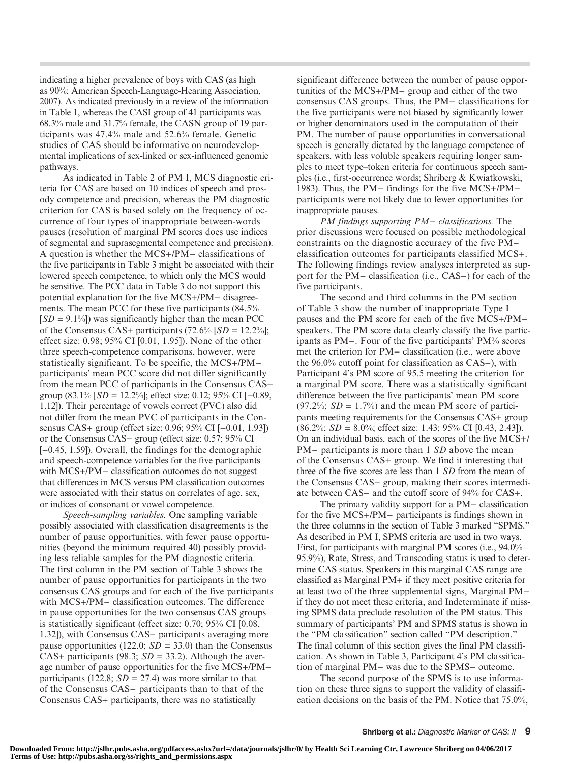indicating a higher prevalence of boys with CAS (as high as 90%; American Speech-Language-Hearing Association, 2007). As indicated previously in a review of the information in Table 1, whereas the CASI group of 41 participants was 68.3% male and 31.7% female, the CASN group of 19 participants was 47.4% male and 52.6% female. Genetic studies of CAS should be informative on neurodevelopmental implications of sex-linked or sex-influenced genomic pathways.

As indicated in Table 2 of PM I, MCS diagnostic criteria for CAS are based on 10 indices of speech and prosody competence and precision, whereas the PM diagnostic criterion for CAS is based solely on the frequency of occurrence of four types of inappropriate between-words pauses (resolution of marginal PM scores does use indices of segmental and suprasegmental competence and precision). A question is whether the MCS+/PM− classifications of the five participants in Table 3 might be associated with their lowered speech competence, to which only the MCS would be sensitive. The PCC data in Table 3 do not support this potential explanation for the five MCS+/PM− disagreements. The mean PCC for these five participants (84.5%  $[SD = 9.1\%]$  was significantly higher than the mean PCC of the Consensus CAS+ participants  $(72.6\%$  [SD = 12.2%]; effect size: 0.98; 95% CI [0.01, 1.95]). None of the other three speech-competence comparisons, however, were statistically significant. To be specific, the MCS+/PM− participants' mean PCC score did not differ significantly from the mean PCC of participants in the Consensus CAS− group (83.1% [SD = 12.2%]; effect size: 0.12; 95% CI [−0.89, 1.12]). Their percentage of vowels correct (PVC) also did not differ from the mean PVC of participants in the Consensus CAS+ group (effect size: 0.96; 95% CI [−0.01, 1.93]) or the Consensus CAS− group (effect size: 0.57; 95% CI [ $-0.45$ , 1.59]). Overall, the findings for the demographic and speech-competence variables for the five participants with MCS+/PM− classification outcomes do not suggest that differences in MCS versus PM classification outcomes were associated with their status on correlates of age, sex, or indices of consonant or vowel competence.

Speech-sampling variables. One sampling variable possibly associated with classification disagreements is the number of pause opportunities, with fewer pause opportunities (beyond the minimum required 40) possibly providing less reliable samples for the PM diagnostic criteria. The first column in the PM section of Table 3 shows the number of pause opportunities for participants in the two consensus CAS groups and for each of the five participants with MCS+/PM− classification outcomes. The difference in pause opportunities for the two consensus CAS groups is statistically significant (effect size: 0.70; 95% CI [0.08, 1.32]), with Consensus CAS− participants averaging more pause opportunities (122.0;  $SD = 33.0$ ) than the Consensus CAS+ participants (98.3;  $SD = 33.2$ ). Although the average number of pause opportunities for the five MCS+/PM− participants (122.8;  $SD = 27.4$ ) was more similar to that of the Consensus CAS− participants than to that of the Consensus CAS+ participants, there was no statistically

significant difference between the number of pause opportunities of the MCS+/PM− group and either of the two consensus CAS groups. Thus, the PM− classifications for the five participants were not biased by significantly lower or higher denominators used in the computation of their PM. The number of pause opportunities in conversational speech is generally dictated by the language competence of speakers, with less voluble speakers requiring longer samples to meet type–token criteria for continuous speech samples (i.e., first-occurrence words; Shriberg & Kwiatkowski, 1983). Thus, the PM− findings for the five MCS+/PM− participants were not likely due to fewer opportunities for inappropriate pauses.

PM findings supporting PM− classifications. The prior discussions were focused on possible methodological constraints on the diagnostic accuracy of the five PM− classification outcomes for participants classified MCS+. The following findings review analyses interpreted as support for the PM− classification (i.e., CAS−) for each of the five participants.

The second and third columns in the PM section of Table 3 show the number of inappropriate Type I pauses and the PM score for each of the five MCS+/PM− speakers. The PM score data clearly classify the five participants as PM−. Four of the five participants' PM% scores met the criterion for PM− classification (i.e., were above the 96.0% cutoff point for classification as CAS−), with Participant 4's PM score of 95.5 meeting the criterion for a marginal PM score. There was a statistically significant difference between the five participants' mean PM score  $(97.2\%; SD = 1.7\%)$  and the mean PM score of participants meeting requirements for the Consensus CAS+ group  $(86.2\%; SD = 8.0\%;$  effect size: 1.43; 95% CI [0.43, 2.43]). On an individual basis, each of the scores of the five MCS+/ PM– participants is more than 1 SD above the mean of the Consensus CAS+ group. We find it interesting that three of the five scores are less than 1 SD from the mean of the Consensus CAS− group, making their scores intermediate between CAS− and the cutoff score of 94% for CAS+.

The primary validity support for a PM− classification for the five MCS+/PM− participants is findings shown in the three columns in the section of Table 3 marked "SPMS." As described in PM I, SPMS criteria are used in two ways. First, for participants with marginal PM scores (i.e., 94.0%– 95.9%), Rate, Stress, and Transcoding status is used to determine CAS status. Speakers in this marginal CAS range are classified as Marginal PM+ if they meet positive criteria for at least two of the three supplemental signs, Marginal PM− if they do not meet these criteria, and Indeterminate if missing SPMS data preclude resolution of the PM status. This summary of participants' PM and SPMS status is shown in the "PM classification" section called "PM description." The final column of this section gives the final PM classification. As shown in Table 3, Participant 4's PM classification of marginal PM− was due to the SPMS− outcome.

The second purpose of the SPMS is to use information on these three signs to support the validity of classification decisions on the basis of the PM. Notice that 75.0%,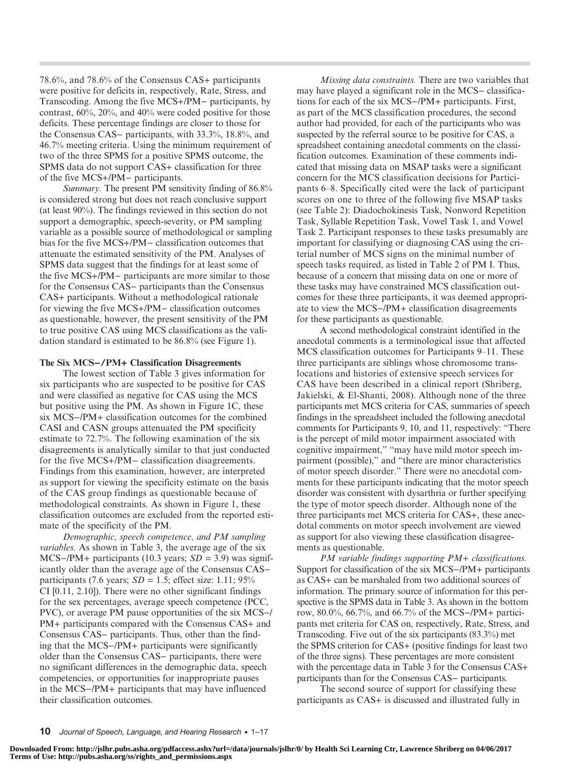78.6%, and 78.6% of the Consensus CAS+ participants were positive for deficits in, respectively, Rate, Stress, and Transcoding. Among the five MCS+/PM− participants, by contrast, 60%, 20%, and 40% were coded positive for those deficits. These percentage findings are closer to those for the Consensus CAS− participants, with 33.3%, 18.8%, and 46.7% meeting criteria. Using the minimum requirement of two of the three SPMS for a positive SPMS outcome, the SPMS data do not support CAS+ classification for three of the five MCS+/PM− participants.

Summary. The present PM sensitivity finding of 86.8% is considered strong but does not reach conclusive support (at least 90%). The findings reviewed in this section do not support a demographic, speech-severity, or PM sampling variable as a possible source of methodological or sampling bias for the five MCS+/PM− classification outcomes that attenuate the estimated sensitivity of the PM. Analyses of SPMS data suggest that the findings for at least some of the five MCS+/PM− participants are more similar to those for the Consensus CAS− participants than the Consensus CAS+ participants. Without a methodological rationale for viewing the five MCS+/PM− classification outcomes as questionable, however, the present sensitivity of the PM to true positive CAS using MCS classifications as the validation standard is estimated to be 86.8% (see Figure 1).

#### The Six MCS−/PM+ Classification Disagreements

The lowest section of Table 3 gives information for six participants who are suspected to be positive for CAS and were classified as negative for CAS using the MCS but positive using the PM. As shown in Figure 1C, these six MCS−/PM+ classification outcomes for the combined CASI and CASN groups attenuated the PM specificity estimate to 72.7%. The following examination of the six disagreements is analytically similar to that just conducted for the five MCS+/PM− classification disagreements. Findings from this examination, however, are interpreted as support for viewing the specificity estimate on the basis of the CAS group findings as questionable because of methodological constraints. As shown in Figure 1, these classification outcomes are excluded from the reported estimate of the specificity of the PM.

Demographic, speech competence, and PM sampling variables. As shown in Table 3, the average age of the six MCS– $/PM+$  participants (10.3 years;  $SD = 3.9$ ) was significantly older than the average age of the Consensus CAS− participants (7.6 years;  $SD = 1.5$ ; effect size: 1.11; 95% CI [0.11, 2.10]). There were no other significant findings for the sex percentages, average speech competence (PCC, PVC), or average PM pause opportunities of the six MCS−/ PM+ participants compared with the Consensus CAS+ and Consensus CAS− participants. Thus, other than the finding that the MCS−/PM+ participants were significantly older than the Consensus CAS− participants, there were no significant differences in the demographic data, speech competencies, or opportunities for inappropriate pauses in the MCS−/PM+ participants that may have influenced their classification outcomes.

Missing data constraints. There are two variables that may have played a significant role in the MCS− classifications for each of the six MCS−/PM+ participants. First, as part of the MCS classification procedures, the second author had provided, for each of the participants who was suspected by the referral source to be positive for CAS, a spreadsheet containing anecdotal comments on the classification outcomes. Examination of these comments indicated that missing data on MSAP tasks were a significant concern for the MCS classification decisions for Participants 6–8. Specifically cited were the lack of participant scores on one to three of the following five MSAP tasks (see Table 2): Diadochokinesis Task, Nonword Repetition Task, Syllable Repetition Task, Vowel Task 1, and Vowel Task 2. Participant responses to these tasks presumably are important for classifying or diagnosing CAS using the criterial number of MCS signs on the minimal number of speech tasks required, as listed in Table 2 of PM I. Thus, because of a concern that missing data on one or more of these tasks may have constrained MCS classification outcomes for these three participants, it was deemed appropriate to view the MCS−/PM+ classification disagreements for these participants as questionable.

A second methodological constraint identified in the anecdotal comments is a terminological issue that affected MCS classification outcomes for Participants 9–11. These three participants are siblings whose chromosome translocations and histories of extensive speech services for CAS have been described in a clinical report (Shriberg, Jakielski, & El-Shanti, 2008). Although none of the three participants met MCS criteria for CAS, summaries of speech findings in the spreadsheet included the following anecdotal comments for Participants 9, 10, and 11, respectively: "There is the percept of mild motor impairment associated with cognitive impairment," "may have mild motor speech impairment (possible)," and "there are minor characteristics of motor speech disorder." There were no anecdotal comments for these participants indicating that the motor speech disorder was consistent with dysarthria or further specifying the type of motor speech disorder. Although none of the three participants met MCS criteria for CAS+, these anecdotal comments on motor speech involvement are viewed as support for also viewing these classification disagreements as questionable.

PM variable findings supporting PM+ classifications. Support for classification of the six MCS−/PM+ participants as CAS+ can be marshaled from two additional sources of information. The primary source of information for this perspective is the SPMS data in Table 3. As shown in the bottom row, 80.0%, 66.7%, and 66.7% of the MCS−/PM+ participants met criteria for CAS on, respectively, Rate, Stress, and Transcoding. Five out of the six participants (83.3%) met the SPMS criterion for CAS+ (positive findings for least two of the three signs). These percentages are more consistent with the percentage data in Table 3 for the Consensus CAS+ participants than for the Consensus CAS− participants.

The second source of support for classifying these participants as CAS+ is discussed and illustrated fully in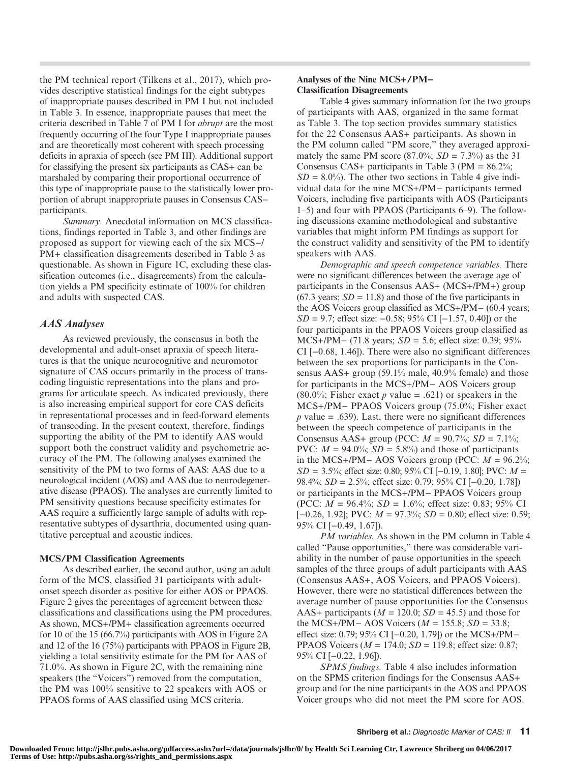the PM technical report (Tilkens et al., 2017), which provides descriptive statistical findings for the eight subtypes of inappropriate pauses described in PM I but not included in Table 3. In essence, inappropriate pauses that meet the criteria described in Table 7 of PM I for abrupt are the most frequently occurring of the four Type I inappropriate pauses and are theoretically most coherent with speech processing deficits in apraxia of speech (see PM III). Additional support for classifying the present six participants as CAS+ can be marshaled by comparing their proportional occurrence of this type of inappropriate pause to the statistically lower proportion of abrupt inappropriate pauses in Consensus CAS− participants.

Summary. Anecdotal information on MCS classifications, findings reported in Table 3, and other findings are proposed as support for viewing each of the six MCS−/ PM+ classification disagreements described in Table 3 as questionable. As shown in Figure 1C, excluding these classification outcomes (i.e., disagreements) from the calculation yields a PM specificity estimate of 100% for children and adults with suspected CAS.

## AAS Analyses

As reviewed previously, the consensus in both the developmental and adult-onset apraxia of speech literatures is that the unique neurocognitive and neuromotor signature of CAS occurs primarily in the process of transcoding linguistic representations into the plans and programs for articulate speech. As indicated previously, there is also increasing empirical support for core CAS deficits in representational processes and in feed-forward elements of transcoding. In the present context, therefore, findings supporting the ability of the PM to identify AAS would support both the construct validity and psychometric accuracy of the PM. The following analyses examined the sensitivity of the PM to two forms of AAS: AAS due to a neurological incident (AOS) and AAS due to neurodegenerative disease (PPAOS). The analyses are currently limited to PM sensitivity questions because specificity estimates for AAS require a sufficiently large sample of adults with representative subtypes of dysarthria, documented using quantitative perceptual and acoustic indices.

#### MCS/PM Classification Agreements

As described earlier, the second author, using an adult form of the MCS, classified 31 participants with adultonset speech disorder as positive for either AOS or PPAOS. Figure 2 gives the percentages of agreement between these classifications and classifications using the PM procedures. As shown, MCS+/PM+ classification agreements occurred for 10 of the 15 (66.7%) participants with AOS in Figure 2A and 12 of the 16 (75%) participants with PPAOS in Figure 2B, yielding a total sensitivity estimate for the PM for AAS of 71.0%. As shown in Figure 2C, with the remaining nine speakers (the "Voicers") removed from the computation, the PM was 100% sensitive to 22 speakers with AOS or PPAOS forms of AAS classified using MCS criteria.

#### Analyses of the Nine MCS+/PM− Classification Disagreements

Table 4 gives summary information for the two groups of participants with AAS, organized in the same format as Table 3. The top section provides summary statistics for the 22 Consensus AAS+ participants. As shown in the PM column called "PM score," they averaged approximately the same PM score (87.0%;  $SD = 7.3\%$ ) as the 31 Consensus CAS+ participants in Table 3 (PM =  $86.2\%$ ;  $SD = 8.0\%$ ). The other two sections in Table 4 give individual data for the nine MCS+/PM− participants termed Voicers, including five participants with AOS (Participants 1–5) and four with PPAOS (Participants 6–9). The following discussions examine methodological and substantive variables that might inform PM findings as support for the construct validity and sensitivity of the PM to identify speakers with AAS.

Demographic and speech competence variables. There were no significant differences between the average age of participants in the Consensus AAS+ (MCS+/PM+) group  $(67.3 \text{ years}; SD = 11.8)$  and those of the five participants in the AOS Voicers group classified as MCS+/PM− (60.4 years;  $SD = 9.7$ ; effect size:  $-0.58$ ; 95% CI [ $-1.57$ , 0.40]) or the four participants in the PPAOS Voicers group classified as MCS+/PM− (71.8 years;  $SD = 5.6$ ; effect size: 0.39; 95% CI [−0.68, 1.46]). There were also no significant differences between the sex proportions for participants in the Consensus AAS+ group (59.1% male, 40.9% female) and those for participants in the MCS+/PM− AOS Voicers group (80.0%; Fisher exact p value = .621) or speakers in the MCS+/PM− PPAOS Voicers group (75.0%; Fisher exact  $p$  value = .639). Last, there were no significant differences between the speech competence of participants in the Consensus AAS+ group (PCC:  $M = 90.7\%$ ;  $SD = 7.1\%$ ; PVC:  $M = 94.0\%$ ;  $SD = 5.8\%$ ) and those of participants in the MCS+/PM− AOS Voicers group (PCC:  $M = 96.2\%$ ;  $SD = 3.5\%$ ; effect size: 0.80; 95% CI [-0.19, 1.80]; PVC:  $M =$ 98.4%; SD = 2.5%; effect size: 0.79; 95% CI [−0.20, 1.78]) or participants in the MCS+/PM− PPAOS Voicers group (PCC:  $M = 96.4\%$ ;  $SD = 1.6\%$ ; effect size: 0.83; 95% CI  $[-0.26, 1.92]$ ; PVC:  $M = 97.3\%$ ;  $SD = 0.80$ ; effect size: 0.59; 95% CI [−0.49, 1.67]).

PM variables. As shown in the PM column in Table 4 called "Pause opportunities," there was considerable variability in the number of pause opportunities in the speech samples of the three groups of adult participants with AAS (Consensus AAS+, AOS Voicers, and PPAOS Voicers). However, there were no statistical differences between the average number of pause opportunities for the Consensus AAS+ participants ( $M = 120.0$ ;  $SD = 45.5$ ) and those for the MCS+/PM− AOS Voicers ( $M = 155.8$ ;  $SD = 33.8$ ; effect size: 0.79; 95% CI [−0.20, 1.79]) or the MCS+/PM− PPAOS Voicers ( $M = 174.0$ ;  $SD = 119.8$ ; effect size: 0.87; 95% CI [−0.22, 1.96]).

SPMS findings. Table 4 also includes information on the SPMS criterion findings for the Consensus AAS+ group and for the nine participants in the AOS and PPAOS Voicer groups who did not meet the PM score for AOS.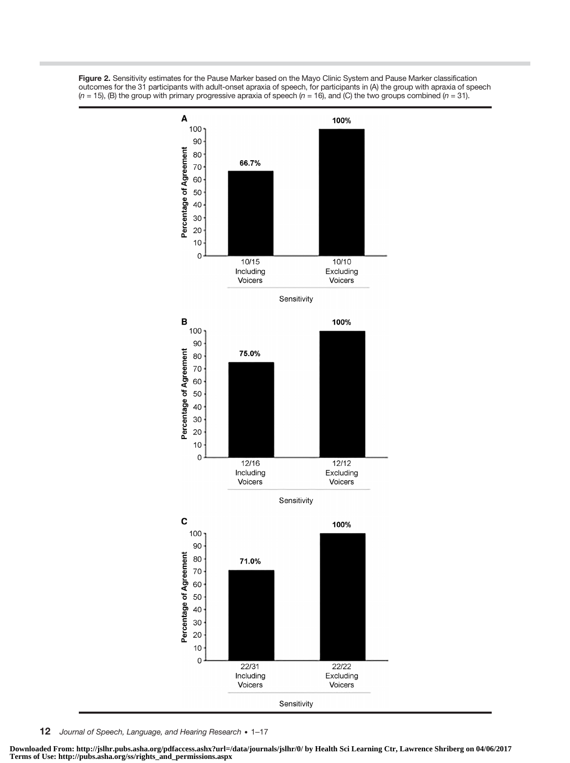



12 Journal of Speech, Language, and Hearing Research . 1-17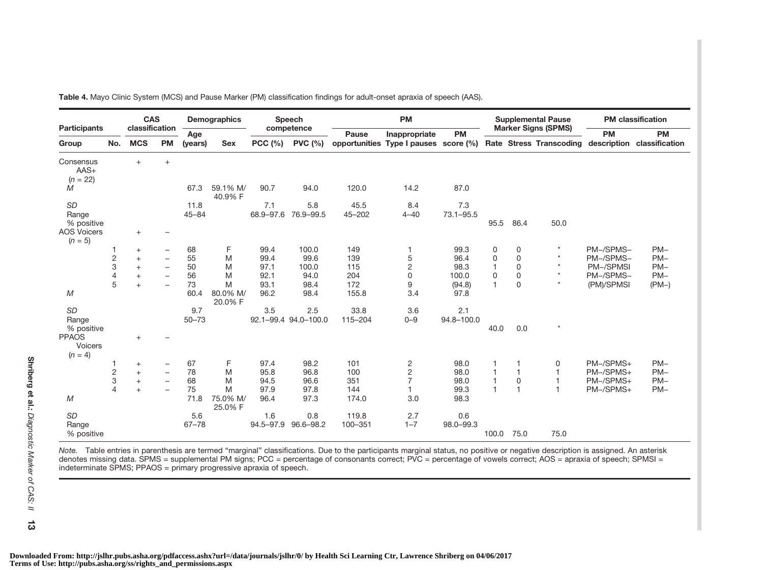|                                      |                | <b>CAS</b>        |                          |                   | Demographics             |                  | Speech               |                    | <b>PM</b>                             |                      |                |              | <b>Supplemental Pause</b>           |            | <b>PM</b> classification |
|--------------------------------------|----------------|-------------------|--------------------------|-------------------|--------------------------|------------------|----------------------|--------------------|---------------------------------------|----------------------|----------------|--------------|-------------------------------------|------------|--------------------------|
| <b>Participants</b>                  |                | classification    |                          | Age               |                          |                  | competence           | Pause              | Inappropriate                         | <b>PM</b>            |                |              | <b>Marker Signs (SPMS)</b>          | <b>PM</b>  | <b>PM</b>                |
| Group                                | No.            | <b>MCS</b>        | <b>PM</b>                | (years)           | <b>Sex</b>               | <b>PCC (%)</b>   | <b>PVC (%)</b>       |                    | opportunities Type I pauses score (%) |                      |                |              | Rate Stress Transcoding description |            | classification           |
| Consensus<br>$AAS+$<br>$(n = 22)$    |                | $+$               | $+$                      |                   |                          |                  |                      |                    |                                       |                      |                |              |                                     |            |                          |
| M                                    |                |                   |                          | 67.3              | 59.1% M/<br>40.9% F      | 90.7             | 94.0                 | 120.0              | 14.2                                  | 87.0                 |                |              |                                     |            |                          |
| <b>SD</b><br>Range<br>% positive     |                |                   |                          | 11.8<br>$45 - 84$ |                          | 7.1<br>68.9-97.6 | 5.8<br>76.9-99.5     | 45.5<br>$45 - 202$ | 8.4<br>$4 - 40$                       | 7.3<br>$73.1 - 95.5$ | 95.5           | 86.4         | 50.0                                |            |                          |
| <b>AOS Voicers</b><br>$(n = 5)$      |                | $^{+}$            |                          |                   |                          |                  |                      |                    |                                       |                      |                |              |                                     |            |                          |
|                                      |                | $^{+}$            | $\overline{\phantom{m}}$ | 68                | F                        | 99.4             | 100.0                | 149                | $\mathbf{1}$                          | 99.3                 | 0              | 0            | $\star$                             | PM-/SPMS-  | $PM-$                    |
|                                      | $\sqrt{2}$     | $+$               | $\overline{\phantom{0}}$ | 55                | M                        | 99.4             | 99.6                 | 139                | $\mathbf 5$                           | 96.4                 | 0              | $\mathbf 0$  | $\star$                             | PM-/SPMS-  | $PM-$                    |
|                                      | 3              | $+$               | $\qquad \qquad -$        | 50                | M                        | 97.1             | 100.0                | 115                | $\overline{c}$                        | 98.3                 | 1              | $\mathbf 0$  | $\star$                             | PM-/SPMSI  | $PM-$                    |
|                                      | $\overline{4}$ | $+$               | $\overline{\phantom{0}}$ | 56                | M                        | 92.1             | 94.0                 | 204                | $\mathbf 0$                           | 100.0                | 0              | $\mathbf 0$  | $\star$                             | PM-/SPMS-  | $PM-$                    |
| M                                    | 5              | $\ddot{}$         | $\overline{\phantom{0}}$ | 73<br>60.4        | M<br>80.0% M/<br>20.0% F | 93.1<br>96.2     | 98.4<br>98.4         | 172<br>155.8       | 9<br>3.4                              | (94.8)<br>97.8       | $\mathbf{1}$   | $\mathbf 0$  | $\star$                             | (PM)/SPMSI | $(PM-)$                  |
| <b>SD</b>                            |                |                   |                          | 9.7               |                          | 3.5              | 2.5                  | 33.8               | 3.6                                   | 2.1                  |                |              |                                     |            |                          |
| Range<br>% positive                  |                |                   |                          | $50 - 73$         |                          |                  | 92.1-99.4 94.0-100.0 | 115-204            | $0 - 9$                               | 94.8-100.0           | 40.0           | 0.0          | $\star$                             |            |                          |
| <b>PPAOS</b><br>Voicers<br>$(n = 4)$ |                | $+$               |                          |                   |                          |                  |                      |                    |                                       |                      |                |              |                                     |            |                          |
|                                      |                | $^{+}$            | $\overline{\phantom{0}}$ | 67                | F                        | 97.4             | 98.2                 | 101                |                                       | 98.0                 |                |              | 0                                   | PM-/SPMS+  | $PM-$                    |
|                                      | $\overline{c}$ | $+$               | $\overline{\phantom{m}}$ | 78                | M                        | 95.8             | 96.8                 | 100                | $\frac{2}{2}$                         | 98.0                 | 1              | $\mathbf{1}$ |                                     | PM-/SPMS+  | $PM-$                    |
|                                      | 3              | $\qquad \qquad +$ | $\overline{\phantom{0}}$ | 68                | M                        | 94.5             | 96.6                 | 351                | $\overline{7}$                        | 98.0                 | $\mathbf{1}$   | $\mathsf 0$  |                                     | PM-/SPMS+  | $PM-$                    |
| M                                    | $\overline{4}$ | $+$               |                          | 75<br>71.8        | M<br>75.0% M/<br>25.0% F | 97.9<br>96.4     | 97.8<br>97.3         | 144<br>174.0       | 1<br>3.0                              | 99.3<br>98.3         | $\overline{1}$ | $\mathbf{1}$ |                                     | PM-/SPMS+  | $PM-$                    |
| <b>SD</b><br>Range<br>% positive     |                |                   |                          | 5.6<br>$67 - 78$  |                          | 1.6<br>94.5-97.9 | 0.8<br>96.6-98.2     | 119.8<br>100-351   | 2.7<br>$1 - 7$                        | 0.6<br>98.0-99.3     | 100.0          | 75.0         | 75.0                                |            |                          |

Table 4. Mayo Clinic System (MCS) and Pause Marker (PM) classification findings for adult-onset apraxia of speech (AAS).

Note. Table entries in parenthesis are termed "marginal" classifications. Due to the participants marginal status, no positive or negative description is assigned. An asterisk denotes missing data. SPMS <sup>=</sup> supplemental PM signs; PCC <sup>=</sup> percentage of consonants correct; PVC <sup>=</sup> percentage of vowels correct; AOS <sup>=</sup> apraxia of speech; SPMSI <sup>=</sup> indeterminate SPMS; PPAOS <sup>=</sup> primary progressive apraxia of speech.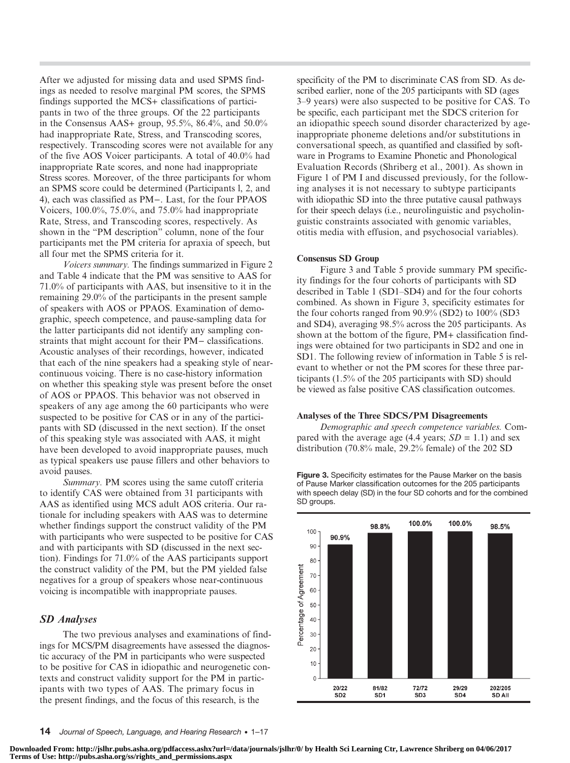After we adjusted for missing data and used SPMS findings as needed to resolve marginal PM scores, the SPMS findings supported the MCS+ classifications of participants in two of the three groups. Of the 22 participants in the Consensus AAS+ group, 95.5%, 86.4%, and 50.0% had inappropriate Rate, Stress, and Transcoding scores, respectively. Transcoding scores were not available for any of the five AOS Voicer participants. A total of 40.0% had inappropriate Rate scores, and none had inappropriate Stress scores. Moreover, of the three participants for whom an SPMS score could be determined (Participants l, 2, and 4), each was classified as PM−. Last, for the four PPAOS Voicers, 100.0%, 75.0%, and 75.0% had inappropriate Rate, Stress, and Transcoding scores, respectively. As shown in the "PM description" column, none of the four participants met the PM criteria for apraxia of speech, but all four met the SPMS criteria for it.

Voicers summary. The findings summarized in Figure 2 and Table 4 indicate that the PM was sensitive to AAS for 71.0% of participants with AAS, but insensitive to it in the remaining 29.0% of the participants in the present sample of speakers with AOS or PPAOS. Examination of demographic, speech competence, and pause-sampling data for the latter participants did not identify any sampling constraints that might account for their PM− classifications. Acoustic analyses of their recordings, however, indicated that each of the nine speakers had a speaking style of nearcontinuous voicing. There is no case-history information on whether this speaking style was present before the onset of AOS or PPAOS. This behavior was not observed in speakers of any age among the 60 participants who were suspected to be positive for CAS or in any of the participants with SD (discussed in the next section). If the onset of this speaking style was associated with AAS, it might have been developed to avoid inappropriate pauses, much as typical speakers use pause fillers and other behaviors to avoid pauses.

Summary. PM scores using the same cutoff criteria to identify CAS were obtained from 31 participants with AAS as identified using MCS adult AOS criteria. Our rationale for including speakers with AAS was to determine whether findings support the construct validity of the PM with participants who were suspected to be positive for CAS and with participants with SD (discussed in the next section). Findings for 71.0% of the AAS participants support the construct validity of the PM, but the PM yielded false negatives for a group of speakers whose near-continuous voicing is incompatible with inappropriate pauses.

#### SD Analyses

The two previous analyses and examinations of findings for MCS/PM disagreements have assessed the diagnostic accuracy of the PM in participants who were suspected to be positive for CAS in idiopathic and neurogenetic contexts and construct validity support for the PM in participants with two types of AAS. The primary focus in the present findings, and the focus of this research, is the

specificity of the PM to discriminate CAS from SD. As described earlier, none of the 205 participants with SD (ages 3–9 years) were also suspected to be positive for CAS. To be specific, each participant met the SDCS criterion for an idiopathic speech sound disorder characterized by ageinappropriate phoneme deletions and/or substitutions in conversational speech, as quantified and classified by software in Programs to Examine Phonetic and Phonological Evaluation Records (Shriberg et al., 2001). As shown in Figure 1 of PM I and discussed previously, for the following analyses it is not necessary to subtype participants with idiopathic SD into the three putative causal pathways for their speech delays (i.e., neurolinguistic and psycholinguistic constraints associated with genomic variables, otitis media with effusion, and psychosocial variables).

#### Consensus SD Group

Figure 3 and Table 5 provide summary PM specificity findings for the four cohorts of participants with SD described in Table 1 (SD1–SD4) and for the four cohorts combined. As shown in Figure 3, specificity estimates for the four cohorts ranged from 90.9% (SD2) to 100% (SD3 and SD4), averaging 98.5% across the 205 participants. As shown at the bottom of the figure, PM+ classification findings were obtained for two participants in SD2 and one in SD1. The following review of information in Table 5 is relevant to whether or not the PM scores for these three participants (1.5% of the 205 participants with SD) should be viewed as false positive CAS classification outcomes.

#### Analyses of the Three SDCS/PM Disagreements

Demographic and speech competence variables. Compared with the average age (4.4 years;  $SD = 1.1$ ) and sex distribution (70.8% male, 29.2% female) of the 202 SD

Figure 3. Specificity estimates for the Pause Marker on the basis of Pause Marker classification outcomes for the 205 participants with speech delay (SD) in the four SD cohorts and for the combined SD groups.

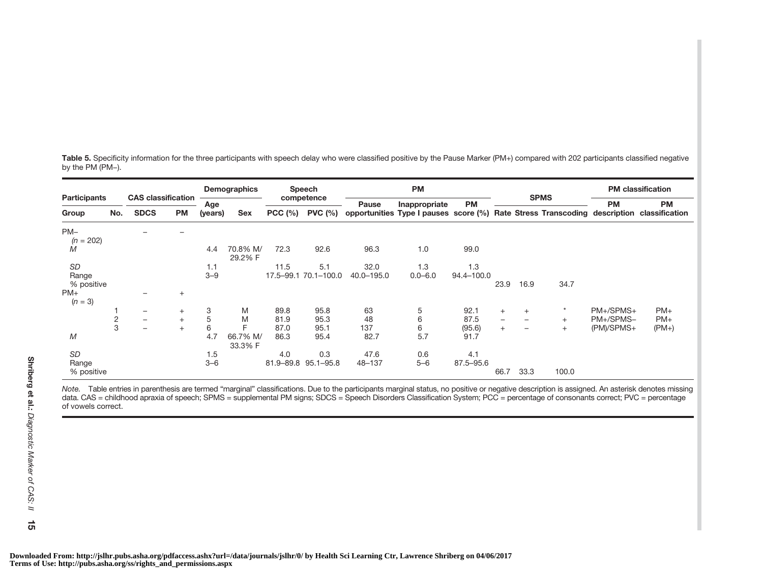| <b>Participants</b>  |            | <b>CAS</b> classification |           |                       | Demographics        |               | Speech          |            | <b>PM</b>                                                                                |            |                          |                          |         |            | <b>PM</b> classification |  |
|----------------------|------------|---------------------------|-----------|-----------------------|---------------------|---------------|-----------------|------------|------------------------------------------------------------------------------------------|------------|--------------------------|--------------------------|---------|------------|--------------------------|--|
|                      |            |                           |           | Age                   |                     | competence    |                 | Pause      | Inappropriate                                                                            | <b>PM</b>  | <b>SPMS</b>              |                          |         | <b>PM</b>  | <b>PM</b>                |  |
| Group                | No.        | <b>SDCS</b>               | <b>PM</b> | <b>Sex</b><br>(years) |                     |               | PCC (%) PVC (%) |            | opportunities Type I pauses score (%) Rate Stress Transcoding description classification |            |                          |                          |         |            |                          |  |
| $PM-$<br>$(n = 202)$ |            |                           |           |                       |                     |               |                 |            |                                                                                          |            |                          |                          |         |            |                          |  |
| Μ                    |            |                           |           | 4.4                   | 70.8% M/<br>29.2% F | 72.3          | 92.6            | 96.3       | 1.0                                                                                      | 99.0       |                          |                          |         |            |                          |  |
| <b>SD</b>            |            |                           |           | 1.1                   |                     | 11.5          | 5.1             | 32.0       | 1.3                                                                                      | 1.3        |                          |                          |         |            |                          |  |
| Range                |            |                           |           | $3 - 9$               |                     | $17.5 - 99.1$ | 70.1-100.0      | 40.0-195.0 | $0.0 - 6.0$                                                                              | 94.4-100.0 |                          |                          |         |            |                          |  |
| % positive           |            |                           |           |                       |                     |               |                 |            |                                                                                          |            | 23.9                     | 16.9                     | 34.7    |            |                          |  |
| $PM+$<br>$(n = 3)$   |            |                           | $^{+}$    |                       |                     |               |                 |            |                                                                                          |            |                          |                          |         |            |                          |  |
|                      |            | $\overline{\phantom{0}}$  | $+$       | 3                     | M                   | 89.8          | 95.8            | 63         | 5                                                                                        | 92.1       | $+$                      | $+$                      | $\star$ | PM+/SPMS+  | $PM+$                    |  |
|                      | $\sqrt{2}$ | —                         | $+$       | 5                     | M                   | 81.9          | 95.3            | 48         | 6                                                                                        | 87.5       | $\overline{\phantom{m}}$ | $\overline{\phantom{m}}$ | $+$     | PM+/SPMS-  | $PM+$                    |  |
|                      | 3          | $\overline{\phantom{0}}$  | $+$       | 6                     |                     | 87.0          | 95.1            | 137        | 6                                                                                        | (95.6)     | $+$                      |                          | $+$     | (PM)/SPMS+ | $(PM+)$                  |  |
| M                    |            |                           |           | 4.7                   | 66.7% M/<br>33.3% F | 86.3          | 95.4            | 82.7       | 5.7                                                                                      | 91.7       |                          |                          |         |            |                          |  |
| <b>SD</b>            |            |                           |           | 1.5                   |                     | 4.0           | 0.3             | 47.6       | 0.6                                                                                      | 4.1        |                          |                          |         |            |                          |  |
| Range                |            |                           |           | $3 - 6$               |                     | 81.9-89.8     | $95.1 - 95.8$   | 48-137     | $5 - 6$                                                                                  | 87.5-95.6  |                          |                          |         |            |                          |  |
| % positive           |            |                           |           |                       |                     |               |                 |            |                                                                                          |            | 66.7                     | 33.3                     | 100.0   |            |                          |  |

Table 5. Specificity information for the three participants with speech delay who were classified positive by the Pause Marker (PM+) compared with 202 participants classified negative by the PM (PM−).

Note. Table entries in parenthesis are termed "marginal" classifications. Due to the participants marginal status, no positive or negative description is assigned. An asterisk denotes missing data. CAS <sup>=</sup> childhood apraxia of speech; SPMS <sup>=</sup> supplemental PM signs; SDCS <sup>=</sup> Speech Disorders Classification System; PCC <sup>=</sup> percentage of consonants correct; PVC <sup>=</sup> percentage of vowels correct.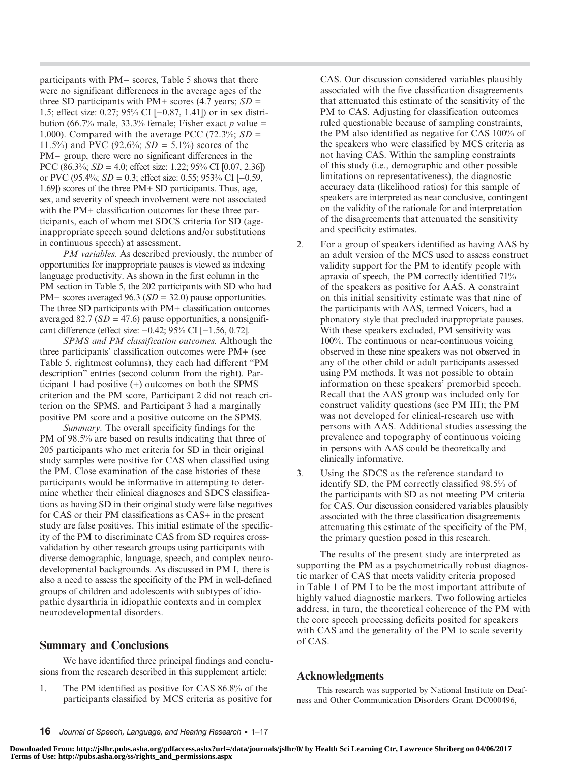participants with PM− scores, Table 5 shows that there were no significant differences in the average ages of the three SD participants with PM+ scores (4.7 years;  $SD =$ 1.5; effect size: 0.27; 95% CI [−0.87, 1.41]) or in sex distribution (66.7% male, 33.3% female; Fisher exact p value = 1.000). Compared with the average PCC (72.3%;  $SD =$ 11.5%) and PVC (92.6%;  $SD = 5.1\%$ ) scores of the PM− group, there were no significant differences in the PCC (86.3%;  $SD = 4.0$ ; effect size: 1.22; 95% CI [0.07, 2.36]) or PVC (95.4%;  $SD = 0.3$ ; effect size: 0.55; 953% CI [−0.59, 1.69]) scores of the three PM+ SD participants. Thus, age, sex, and severity of speech involvement were not associated with the PM+ classification outcomes for these three participants, each of whom met SDCS criteria for SD (ageinappropriate speech sound deletions and/or substitutions in continuous speech) at assessment.

PM variables. As described previously, the number of opportunities for inappropriate pauses is viewed as indexing language productivity. As shown in the first column in the PM section in Table 5, the 202 participants with SD who had PM– scores averaged 96.3 (SD = 32.0) pause opportunities. The three SD participants with PM+ classification outcomes averaged 82.7 ( $SD = 47.6$ ) pause opportunities, a nonsignificant difference (effect size: −0.42; 95% CI [−1.56, 0.72].

SPMS and PM classification outcomes. Although the three participants' classification outcomes were PM+ (see Table 5, rightmost columns), they each had different "PM description" entries (second column from the right). Participant 1 had positive (+) outcomes on both the SPMS criterion and the PM score, Participant 2 did not reach criterion on the SPMS, and Participant 3 had a marginally positive PM score and a positive outcome on the SPMS.

Summary. The overall specificity findings for the PM of 98.5% are based on results indicating that three of 205 participants who met criteria for SD in their original study samples were positive for CAS when classified using the PM. Close examination of the case histories of these participants would be informative in attempting to determine whether their clinical diagnoses and SDCS classifications as having SD in their original study were false negatives for CAS or their PM classifications as CAS+ in the present study are false positives. This initial estimate of the specificity of the PM to discriminate CAS from SD requires crossvalidation by other research groups using participants with diverse demographic, language, speech, and complex neurodevelopmental backgrounds. As discussed in PM I, there is also a need to assess the specificity of the PM in well-defined groups of children and adolescents with subtypes of idiopathic dysarthria in idiopathic contexts and in complex neurodevelopmental disorders.

## Summary and Conclusions

We have identified three principal findings and conclusions from the research described in this supplement article:

1. The PM identified as positive for CAS 86.8% of the participants classified by MCS criteria as positive for

CAS. Our discussion considered variables plausibly associated with the five classification disagreements that attenuated this estimate of the sensitivity of the PM to CAS. Adjusting for classification outcomes ruled questionable because of sampling constraints, the PM also identified as negative for CAS 100% of the speakers who were classified by MCS criteria as not having CAS. Within the sampling constraints of this study (i.e., demographic and other possible limitations on representativeness), the diagnostic accuracy data (likelihood ratios) for this sample of speakers are interpreted as near conclusive, contingent on the validity of the rationale for and interpretation of the disagreements that attenuated the sensitivity and specificity estimates.

- 2. For a group of speakers identified as having AAS by an adult version of the MCS used to assess construct validity support for the PM to identify people with apraxia of speech, the PM correctly identified 71% of the speakers as positive for AAS. A constraint on this initial sensitivity estimate was that nine of the participants with AAS, termed Voicers, had a phonatory style that precluded inappropriate pauses. With these speakers excluded, PM sensitivity was 100%. The continuous or near-continuous voicing observed in these nine speakers was not observed in any of the other child or adult participants assessed using PM methods. It was not possible to obtain information on these speakers' premorbid speech. Recall that the AAS group was included only for construct validity questions (see PM III); the PM was not developed for clinical-research use with persons with AAS. Additional studies assessing the prevalence and topography of continuous voicing in persons with AAS could be theoretically and clinically informative.
- 3. Using the SDCS as the reference standard to identify SD, the PM correctly classified 98.5% of the participants with SD as not meeting PM criteria for CAS. Our discussion considered variables plausibly associated with the three classification disagreements attenuating this estimate of the specificity of the PM, the primary question posed in this research.

The results of the present study are interpreted as supporting the PM as a psychometrically robust diagnostic marker of CAS that meets validity criteria proposed in Table 1 of PM I to be the most important attribute of highly valued diagnostic markers. Two following articles address, in turn, the theoretical coherence of the PM with the core speech processing deficits posited for speakers with CAS and the generality of the PM to scale severity of CAS.

## Acknowledgments

This research was supported by National Institute on Deafness and Other Communication Disorders Grant DC000496,

16 Journal of Speech, Language, and Hearing Research • 1–17